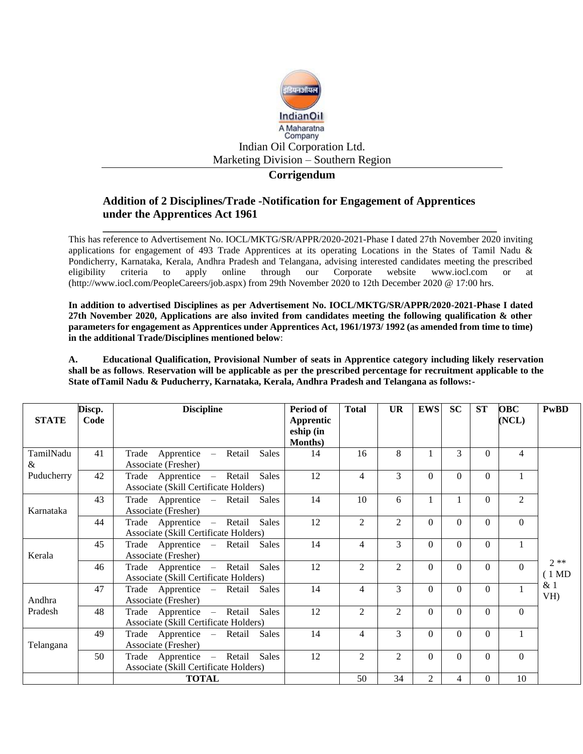

## **Corrigendum**

# **Addition of 2 Disciplines/Trade -Notification for Engagement of Apprentices under the Apprentices Act 1961**

**\_\_\_\_\_\_\_\_\_\_\_\_\_\_\_\_\_\_\_\_\_\_\_\_\_\_\_\_\_\_\_\_\_\_\_\_\_\_\_\_\_\_\_\_\_\_\_\_\_\_\_\_\_\_\_\_\_\_\_\_\_\_\_\_\_\_\_\_\_** This has reference to Advertisement No. IOCL/MKTG/SR/APPR/2020-2021-Phase I dated 27th November 2020 inviting applications for engagement of 493 Trade Apprentices at its operating Locations in the States of Tamil Nadu & Pondicherry, Karnataka, Kerala, Andhra Pradesh and Telangana, advising interested candidates meeting the prescribed eligibility criteria to apply online through our Corporate website [www.iocl.com](http://www.iocl.com/) or at [\(http://www.iocl.com/PeopleCareers/job.aspx\)](http://www.iocl.com/PeopleCareers/job.aspx) from 29th November 2020 to 12th December 2020 @ 17:00 hrs.

**In addition to advertised Disciplines as per Advertisement No. IOCL/MKTG/SR/APPR/2020-2021-Phase I dated 27th November 2020, Applications are also invited from candidates meeting the following qualification & other parameters for engagement as Apprentices under Apprentices Act, 1961/1973/ 1992 (as amended from time to time) in the additional Trade/Disciplines mentioned below**:

**A. Educational Qualification, Provisional Number of seats in Apprentice category including likely reservation shall be as follows**. **Reservation will be applicable as per the prescribed percentage for recruitment applicable to the State ofTamil Nadu & Puducherry, Karnataka, Kerala, Andhra Pradesh and Telangana as follows:-**

| <b>STATE</b>   | Discp.<br>Code | <b>Discipline</b>                                                                  | Period of<br>Apprentic<br>eship (in | <b>Total</b>   | <b>UR</b>      | <b>EWS</b>     | <b>SC</b>    | <b>ST</b> | <b>OBC</b><br>(NCL) | <b>PwBD</b>               |
|----------------|----------------|------------------------------------------------------------------------------------|-------------------------------------|----------------|----------------|----------------|--------------|-----------|---------------------|---------------------------|
| TamilNadu<br>& | 41             | Apprentice – Retail<br><b>Sales</b><br>Trade<br>Associate (Fresher)                | Months)<br>14                       | 16             | 8              |                | 3            | $\Omega$  | 4                   |                           |
| Puducherry     | 42             | <b>Sales</b><br>Trade Apprentice - Retail<br>Associate (Skill Certificate Holders) | 12                                  | 4              | 3              | $\Omega$       | $\Omega$     | $\Omega$  |                     |                           |
| Karnataka      | 43             | Trade Apprentice – Retail<br>Sales<br>Associate (Fresher)                          | 14                                  | 10             | 6              | 1              | $\mathbf{1}$ | $\Omega$  | $\overline{2}$      |                           |
|                | 44             | Sales<br>Trade Apprentice – Retail<br>Associate (Skill Certificate Holders)        | 12                                  | $\overline{2}$ | 2              | $\Omega$       | $\Omega$     | $\Omega$  | $\Omega$            |                           |
| Kerala         | 45             | Trade Apprentice - Retail Sales<br>Associate (Fresher)                             | 14                                  | 4              | 3              | $\Omega$       | $\Omega$     | $\Omega$  |                     |                           |
|                | 46             | Sales<br>Trade Apprentice – Retail<br>Associate (Skill Certificate Holders)        | 12                                  | $\overline{2}$ | 2              | $\Omega$       | $\Omega$     | $\Omega$  | $\Omega$            | $2**$<br>$(1 \text{ MD})$ |
| Andhra         | 47             | Trade Apprentice – Retail<br>Sales<br>Associate (Fresher)                          | 14                                  | 4              | 3              | $\Omega$       | $\Omega$     | $\Omega$  |                     | & 1<br>VH)                |
| Pradesh        | 48             | Trade Apprentice - Retail<br><b>Sales</b><br>Associate (Skill Certificate Holders) | 12                                  | 2              | $\mathfrak{D}$ | $\Omega$       | $\Omega$     | $\Omega$  | $\Omega$            |                           |
| Telangana      | 49             | Sales<br>Trade Apprentice – Retail<br>Associate (Fresher)                          | 14                                  | $\overline{4}$ | 3              | $\Omega$       | $\Omega$     | $\Omega$  |                     |                           |
|                | 50             | Trade Apprentice - Retail<br>Sales<br>Associate (Skill Certificate Holders)        | 12                                  | 2              | $\mathfrak{D}$ | $\Omega$       | 0            | $\Omega$  | $\Omega$            |                           |
|                |                | <b>TOTAL</b>                                                                       |                                     | 50             | 34             | $\overline{2}$ | 4            | $\Omega$  | 10                  |                           |